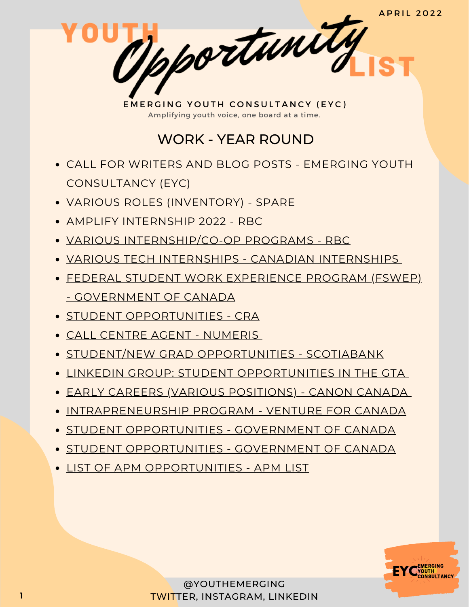**APRIL 2022** 

1 portunity

## WORK - YEAR ROUND

- CALL FOR WRITERS AND BLOG POSTS EMERGING YOUTH [CONSULTANCY](https://www.emergingyouth.info/youthhub) (EYC)
- VARIOUS ROLES [\(INVENTORY\)](https://jobs.lever.co/sparelabs/90ac2a45-b8fe-4004-97ca-4f37d88bcf70) SPARE
- AMPLIFY [INTERNSHIP](https://jobs.rbc.com/ca/en/amplify#Amplify2022_Jobs) 2022 RBC
- VARIOUS [INTERNSHIP/CO-OP](https://jobs.rbc.com/ca/en/featuredopportunities/student-early-talent-jobs) PROGRAMS RBC
- VARIOUS TECH INTERNSHIPS CANADIAN [INTERNSHIPS](https://www.findcanadianinternships.ca/)
- FEDERAL STUDENT WORK EXPERIENCE PROGRAM (FSWEP) - [GOVERNMENT](https://www.canada.ca/en/public-service-commission/jobs/services/recruitment/students/federal-student-work-program.html) OF CANADA
- **STUDENT [OPPORTUNITIES](https://careers-carrieres.cra-arc.gc.ca/gol-ged/wcis/pub/rtrvjbpst.action?pi=D06726B228B01EDBB2C1A18D2C3EA0F2) CRA**
- CALL CENTRE AGENT [NUMERIS](https://numeris.csod.com/ux/ats/careersite/6/home/requisition/406?c=numeris)
- STUDENT/NEW GRAD [OPPORTUNITIES](https://jobs.scotiabank.com/go/Student-&-New-Grad-Jobs/2298417/?utm_campaign=JB_Sept20_Campus_CareerSite_CTA_EN) SCOTIABANK
- LINKEDIN GROUP: STUDENT [OPPORTUNITIES](https://www.linkedin.com/groups/12455311) IN THE GTA
- EARLY CAREERS (VARIOUS [POSITIONS\)](https://careers.canon.ca/early-careers/) CANON CANADA
- [INTRAPRENEURSHIP](https://ventureforcanada.ca/programs/intrapreneurship) PROGRAM VENTURE FOR CANADA
- **STUDENT [OPPORTUNITIES](https://jobs-emplois.cse-cst.gc.ca/en/careers-carrieres/students-etudiants/opportunities) GOVERNMENT OF CANADA**
- **STUDENT [OPPORTUNITIES](https://jobs-emplois.cse-cst.gc.ca/en/careers-carrieres/students-etudiants/opportunities) GOVERNMENT OF CANADA**
- **LIST OF APM [OPPORTUNITIES](https://apmlist.com/) APM LIST**

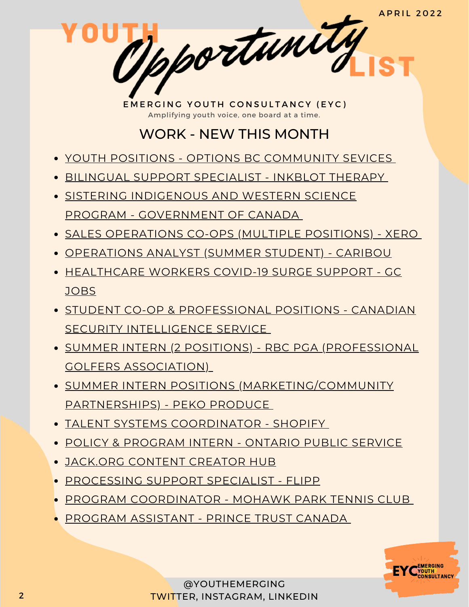**APRIL 2022** 

pportunity

# WORK - NEW THIS MONTH

- YOUTH [POSITIONS](https://www.options.bc.ca/careers-youth#adventure) OPTIONS BC [COMMUNITY](https://www.options.bc.ca/careers-youth#adventure) SEVICES
- BILINGUAL SUPPORT [SPECIALIST](https://www.linkedin.com/jobs/view/2857854242) INKBLOT THERAPY
- SISTERING INDIGENOUS AND WESTERN SCIENCE PROGRAM - [GOVERNMENT](https://www.nrcan.gc.ca/our-natural-resources/indigenous-natural-resources/sistering-indigenous-and-western-science-program/23938) OF CANADA
- SALES [OPERATIONS](https://www.linkedin.com/posts/lindapham11_xero-sales-operations-co-op-activity-6909196366808252416-LSat?utm_source=linkedin_share&utm_medium=ios_app) CO-OPS (MULTIPLE POSITIONS) XERO
- [OPERATIONS](https://www.linkedin.com/jobs/view/2996013119) ANALYST (SUMMER STUDENT) CARIBOU
- [HEALTHCARE](https://emploisfp-psjobs.cfp-psc.gc.ca/psrs-srfp/applicant/page1800?toggleLanguage=en&poster=1646902) WORKERS COVID-19 SURGE SUPPORT GC JOBS
- **STUDENT CO-OP & [PROFESSIONAL](https://www.canada.ca/en/security-intelligence-service/corporate/csis-jobs/available-jobs.html) POSITIONS CANADIAN** SECURITY INTELLIGENCE SERVICE
- SUMMER INTERN (2 POSITIONS) RBC PGA [\(PROFESSIONAL](https://www.pgaofcanada.com/job-board/rbc-pga-scramble-summer-intern-2-positions-26708) GOLFERS ASSOCIATION)
- SUMMER INTERN POSITIONS [\(MARKETING/COMMUNITY](https://pekoproduce.notion.site/Peko-Produce-Job-Board-adfa3bc6383945fd80a22667fabf801a) PARTNERSHIPS) - PEKO PRODUCE
- TALENT SYSTEMS [COORDINATOR](https://www.linkedin.com/jobs/view/3012563992) SHOPIFY
- POLICY & [PROGRAM](https://www.gojobs.gov.on.ca/Preview.aspx?Language=English&JobID=180121&utm_source=Indeed&utm_medium=organic&utm_campaign=Indeed) INTERN ONTARIO PUBLIC SERVICE
- [JACK.ORG](https://docs.google.com/forms/d/e/1FAIpQLSfaiz4jMkTHTK7xWbsJb3MX0tkvSGthNSpqBnQhbK78hVQcuA/viewform) CONTENT CREATOR HUB
- [PROCESSING](https://www.linkedin.com/jobs/view/3007728976) SUPPORT SPECIALIST FLIPP
- PROGRAM [COORDINATOR](https://charityvillage.com/jobs/program-coordinator-6-month-contract-part-time-in-mississauga-l5a-1k8-regional-municipality-of-peel-ontario-ca/) MOHAWK PARK TENNIS CLUB
- PROGRAM [ASSISTANT](https://charityvillage.com/jobs/program-assistant-in-toronto-ontario-ca-2/) PRINCE TRUST CANADA

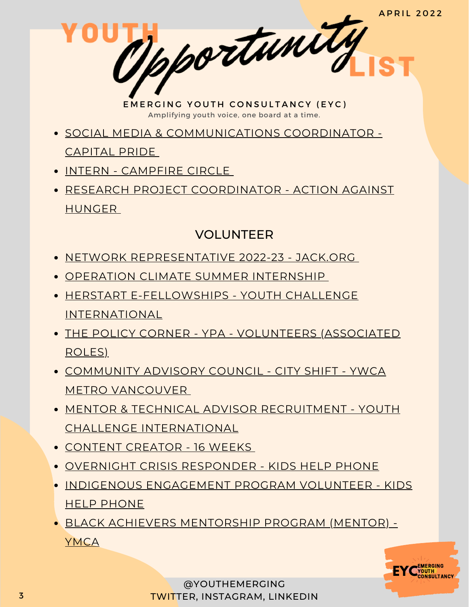**APRIL 2022** 

EMERGING YOUTH CONSULTANCY (EYC) Amplifying youth voice, one board at a time.

Mpportunity

- SOCIAL MEDIA & [COMMUNICATIONS](https://charityvillage.com/jobs/social-media-communications-coordinator-%e2%80%a2-coordination-des-m%c3%a9dias-sociaux-et-des-communications-%ef%bf%bc-in-ottawa-ontario-ca/) COORDINATOR
	- CAPITAL PRIDE
- INTERN [CAMPFIRE](https://charityvillage.com/jobs/intern-events-16-week-term-in-toronto-ontario-ca/) CIRCL[E](https://charityvillage.com/jobs/intern-events-16-week-term-in-toronto-ontario-ca/)
- RESEARCH PROJECT [COORDINATOR](https://www.linkedin.com/jobs/view/3003216874) ACTION AGAINST HUNGER

### VOLUNTEER

- NETWORK [REPRESENTATIVE](https://jackorg.bamboohr.com/jobs/view.php?id=80) 2022-23 JACK.ORG
- OPERATION CLIMATE SUMMER [INTERNSHIP](https://docs.google.com/forms/d/e/1FAIpQLSfJRJU6yinw-ekkfmw0w-Hf-0dp0TxTeNy_LcxXqYg057vxaw/viewform)
- HERSTART [E-FELLOWSHIPS](https://yci.org/herstart/e-fellowships/) YOUTH CHALLENGE INTERNATIONAL
- THE POLICY CORNER YPA [VOLUNTEERS](https://www.ypapolicycorner.org/join-us) (ASSOCIATED ROLES)
- COMMUNITY ADVISORY COUNCIL CITY SHIFT YWCA METRO [VANCOUVER](https://ywcavan.org/sites/default/files/assets/media/file/2022-03%20/City%20Shift%20Community%20Council%20Call%20for%20Applications%202022-03-24.pdf)
- MENTOR & TECHNICAL ADVISOR RECRUITMENT YOUTH CHALLENGE [INTERNATIONAL](https://www.yci.org/InnovateMYFuture/Climate-Leader-call-for-mentors/)
- [CONTENT](https://docs.google.com/forms/d/e/1FAIpQLSdrPDQyYnWAdQ9yYXP0GKw-ftm8b_vwJzkFtFke8Lme939OPA/viewform) CREATOR 16 WEEKS
- OVERNIGHT CRISIS [RESPONDER](https://kidshelpphone.ca/get-involved/participate/call-volunteers-crisis-text-line) KIDS HELP PHONE
- INDIGENOUS [ENGAGEMENT](https://kidshelpphone.ca/get-involved/first-nations-inuit-and-metis/volunteer-for-our-indigenous-engagement-program/) PROGRAM VOLUNTEER KIDS HELP PHONE
- BLACK ACHIEVERS [MENTORSHIP](https://ymcagta.org/youth-programs/Black-Achievers-Mentorship-Program) PROGRAM (MENTOR) YMCA

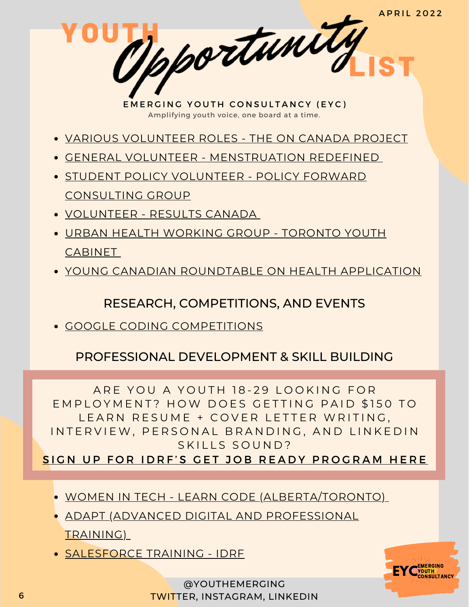**APRIL 2022** 

Mportunity

- VARIOUS [VOLUNTEER](https://oncanadaproject.ca/volunteer) ROLES THE ON CANADA PROJECT
- GENERAL VOLUNTEER [MENSTRUATION](https://docs.google.com/forms/d/e/1FAIpQLSe-ORQRxArU5ZwQWT3JfGEjRtyUwanp5p64UPHwK1nL5Pz__w/viewform) REDEFINED
- **STUDENT POLICY VOLUNTEER POLICY FORWARD** [CONSULTING](https://www.linkedin.com/posts/policy-forward-consulting-group_policyforward-policyconsultants-volunteer-activity-6848327793269387264-k9jy) GROUP
- [VOLUNTEER](https://resultscanada.ca/#sign-up/) RESULTS CANADA
- URBAN HEALTH [WORKING](https://www.linkedin.com/posts/shahithya_youth-health-advocacy-activity-6862529000045199360-NZul/) GROUP TORONTO YOUTH **CABINET**
- YOUNG CANADIAN [ROUNDTABLE](https://docs.google.com/forms/d/e/1FAIpQLSc88LBd5fPoBXv-1-EerpfIAXvfwDaHEYhsvfPGckg67xrW6g/viewform) ON HEALTH APPLICATION

### RESEARCH, COMPETITIONS, AND EVENTS

GOOGLE CODING [COMPETITIONS](https://codingcompetitions.withgoogle.com/)

## PROFESSIONAL DEVELOPMENT & SKILL BUILDING

ARE YOU A YOUTH 18-29 LOOKING FOR EMPLOYMENT? HOW DOES GETTING PAID \$150 TO LEARN RESUME + COVER LETTER WRITING, IN TERVIEW, PERSONAL BRANDING, AND LINKEDIN SKILLS SOUND?

SIGN UP FOR IDRF'S GET JOB READY PROGRA[M](https://idrf.ca/project/getjobready/) HERE

- WOMEN IN TECH LEARN CODE [\(ALBERTA/TORONTO\)](https://idrf.ca/project/women-in-tech/)
- ADAPT (ADVANCED DIGITAL AND [PROFESSIONAL](https://www.ryerson.ca/adapt/Applicants/adapt-for-newcomers/) TRAINING)
- [SALESFORCE](https://idrf.ca/project/salesforce/) TRAINING IDRF



@YOUTHEMERGING TWITTER, INSTAGRAM, LINKEDIN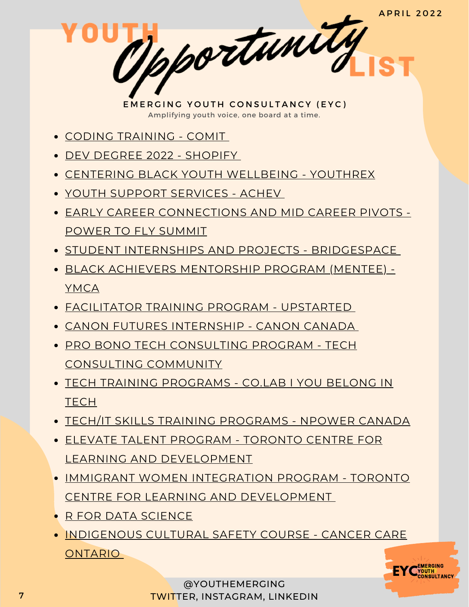**APRIL 2022** 

Mpportunity

- CODING [TRAINING](https://www.comit.org/students?_ga=2.204323856.1034149481.1642111726-1913408940.1642111726) COMI[T](https://www.comit.org/students?_ga=2.204323856.1034149481.1642111726-1913408940.1642111726)
- DEV DEGREE 2022 [SHOPIFY](https://jobs.smartrecruiters.com/ni/Shopify/f92f7d2f-7359-4066-9111-7df6054c6dc6-dev-degree-2022)
- CENTERING BLACK YOUTH [WELLBEING](https://youthrex.com/abr-certificate/) YOUTHREX
- YOUTH SUPPORT [SERVICES](https://achev.ca/services/youth/) ACHEV
- EARLY CAREER [CONNECTIONS](https://summit.powertofly.com/) AND MID CAREER PIVOTS POWER TO FLY SUMMIT
- **STUDENT INTERNSHIPS AND PROJECTS [BRIDGESPACE](https://bridgespace.io/)**
- BLACK ACHIEVERS [MENTORSHIP](https://ymcagta.org/youth-programs/Black-Achievers-Mentorship-Program) PROGRAM (MENTEE) YMCA
- [FACILITATOR](https://docs.google.com/forms/d/e/1FAIpQLSe1fDhYODRagameDOKsf4_FfWns-yNAQEeNTHWK5Pn7XxHuog/viewform) TRAINING PROGRAM UPSTARTED
- CANON FUTURES [INTERNSHIP](https://www.canonfutures.ca/) CANON CANADA
- PRO BONO TECH [CONSULTING](https://techconsultingcommunity.com/pro-bono-tech-consulting/) PROGRAM TECH CONSULTING COMMUNITY
- TECH TRAINING [PROGRAMS](https://www.joincolab.io/#Program-Tracks) CO.LAB I YOU BELONG IN **TECH**
- TECH/IT SKILLS TRAINING [PROGRAMS](https://npowercanada.ca/) NPOWER CANADA
- ELEVATE TALENT PROGRAM TORONTO CENTRE FOR LEARNING AND [DEVELOPMENT](https://www.tccld.org/programs/elevatetalent/)
- IMMIGRANT WOMEN INTEGRATION PROGRAM TORONTO CENTRE FOR LEARNING AND [DEVELOPMENT](https://survey.zohopublic.com/zs/I5CCbQ)
- **R FOR DATA [SCIENCE](https://r4ds.had.co.nz/)**
- **. [INDIGENOUS](https://elearning.cancercare.on.ca/course/view.php?id=101) CULTURAL SAFETY COURSE CANCER CARE ONTARIO**



@YOUTHEMERGING TWITTER, INSTAGRAM, LINKEDIN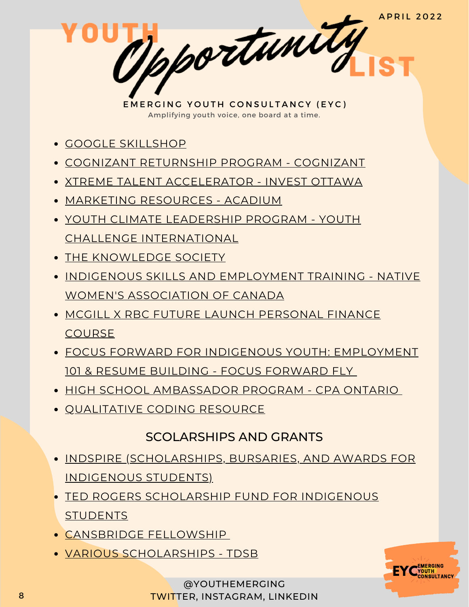**A P R I L 2022** 

pportunity

- GOOGLE [SKILLSHOP](https://skillshop.withgoogle.com/)
- COGNIZANT [RETURNSHIP](https://careers.cognizant.com/global/en/cognizant-returnship-program) PROGRAM COGNIZANT
- XTREME TALENT [ACCELERATOR](https://www.investottawa.ca/xtreme-talent-accelerator/?utm_source=LinkedIn&utm_medium=Paid%20Ads&utm_campaign=XTAP%20Paid%20Ads&li_fat_id=f24b5ec5-db43-4428-88f9-92b5a2d0c0dc) INVEST OTTAWA
- MARKETING [RESOURCES](https://acadium.com/) ACADIUM
- YOUTH CLIMATE LEADERSHIP PROGRAM YOUTH CHALLENGE [INTERNATIONAL](https://www.yci.org/innovatemyfuture/youth-climate-leadership/)
- THE [KNOWLEDGE](https://tks.world/program/) SOCIETY
- **.** INDIGENOUS SKILLS AND [EMPLOYMENT](https://www.nwac.ca/iset/) TRAINING NATIVE WOMEN'S ASSOCIATION OF CANADA
- **MCGILL X RBC FUTURE LAUNCH [PERSONAL](https://learn.mcgillpersonalfinance.com/account/login/) FINANCE COURSE**
- FOCUS FORWARD FOR INDIGENOUS YOUTH: [EMPLOYMENT](https://docs.google.com/forms/d/e/1FAIpQLSfRCREo2hIabn1L271SDl0wPRkApB5N12_6bON-DnyYu8lGEg/viewform) 101 & RESUME BUILDING - FOCUS FORWARD FLY
- HIGH SCHOOL [AMBASSADOR](https://www.cpaontario.ca/become-a-cpa/why-cpa/high-school-ambassador-program) PROGRAM CPA ONTARIO
- **OUALITATIVE CODING RESOURCE**

#### SCOLARSHIPS AND GRANTS

- INDSPIRE [\(SCHOLARSHIPS,](https://indspire.ca/apply-now/) BURSARIES, AND AWARDS FOR INDIGENOUS STUDENTS)
- TED ROGERS [SCHOLARSHIP](https://indspire.ca/apply-now/) FUND FOR INDIGENOUS **STUDENTS**
- [CANSBRIDGE](https://www.cansbridgefellowship.com/) FELLOWSHIP
- VARIOUS [SCHOLARSHIPS](https://schoolweb.tdsb.on.ca/avondalesa/Scholarships) TDSB



@YOUTHEMERGING TWITTER, INSTAGRAM, LINKEDIN